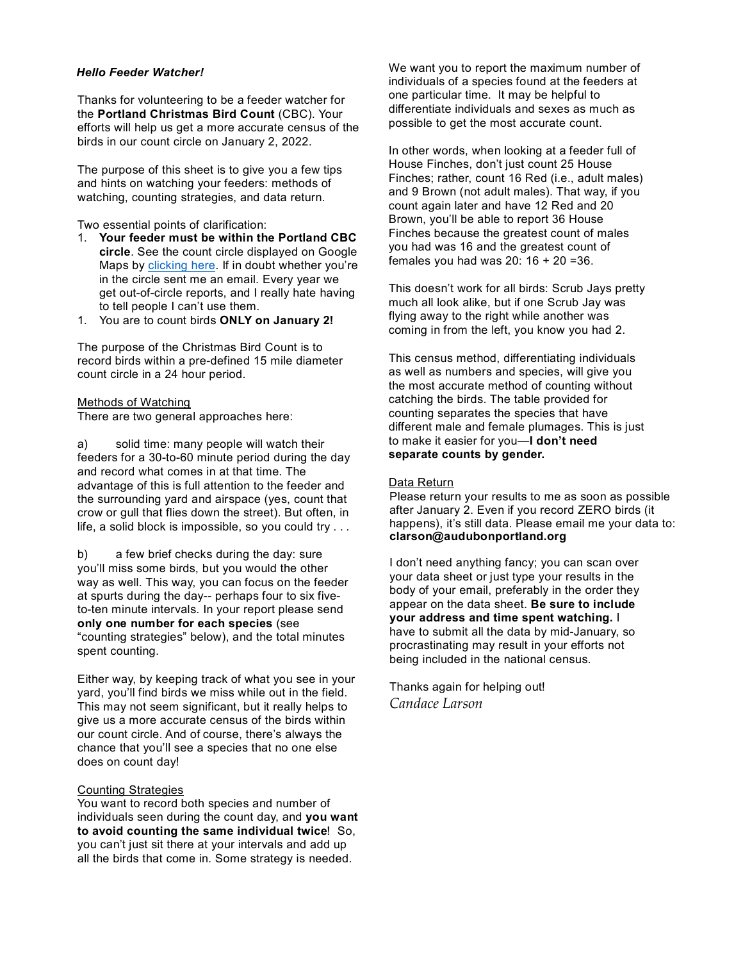## *Hello Feeder Watcher!*

Thanks for volunteering to be a feeder watcher for the **Portland Christmas Bird Count** (CBC). Your efforts will help us get a more accurate census of the birds in our count circle on January 2, 2022.

The purpose of this sheet is to give you a few tips and hints on watching your feeders: methods of watching, counting strategies, and data return.

Two essential points of clarification:

- 1. **Your feeder must be within the Portland CBC circle**. See the count circle displayed on Google Maps by [clicking here.](https://www.google.com/maps/d/u/0/viewer?mid=11vlQsPqZCFOeO_JnSoKVjd4zTNk&%3Bll=45.51679253481233%2C-122.6938505&%3Bz=11&ll=45.51679253481236%2C-122.6938505&z=11) If in doubt whether you're in the circle sent me an email. Every year we get out-of-circle reports, and I really hate having to tell people I can't use them.
- 1. You are to count birds **ONLY on January 2!**

The purpose of the Christmas Bird Count is to record birds within a pre-defined 15 mile diameter count circle in a 24 hour period.

## Methods of Watching

There are two general approaches here:

a) solid time: many people will watch their feeders for a 30-to-60 minute period during the day and record what comes in at that time. The advantage of this is full attention to the feeder and the surrounding yard and airspace (yes, count that crow or gull that flies down the street). But often, in life, a solid block is impossible, so you could try . . .

b) a few brief checks during the day: sure you'll miss some birds, but you would the other way as well. This way, you can focus on the feeder at spurts during the day-- perhaps four to six fiveto-ten minute intervals. In your report please send **only one number for each species** (see "counting strategies" below), and the total minutes spent counting.

Either way, by keeping track of what you see in your yard, you'll find birds we miss while out in the field. This may not seem significant, but it really helps to give us a more accurate census of the birds within our count circle. And of course, there's always the chance that you'll see a species that no one else does on count day!

#### Counting Strategies

You want to record both species and number of individuals seen during the count day, and **you want to avoid counting the same individual twice**! So, you can't just sit there at your intervals and add up all the birds that come in. Some strategy is needed.

We want you to report the maximum number of individuals of a species found at the feeders at one particular time. It may be helpful to differentiate individuals and sexes as much as possible to get the most accurate count.

In other words, when looking at a feeder full of House Finches, don't just count 25 House Finches; rather, count 16 Red (i.e., adult males) and 9 Brown (not adult males). That way, if you count again later and have 12 Red and 20 Brown, you'll be able to report 36 House Finches because the greatest count of males you had was 16 and the greatest count of females you had was  $20: 16 + 20 = 36$ .

This doesn't work for all birds: Scrub Jays pretty much all look alike, but if one Scrub Jay was flying away to the right while another was coming in from the left, you know you had 2.

This census method, differentiating individuals as well as numbers and species, will give you the most accurate method of counting without catching the birds. The table provided for counting separates the species that have different male and female plumages. This is just to make it easier for you—**I don't need separate counts by gender.**

## Data Return

Please return your results to me as soon as possible after January 2. Even if you record ZERO birds (it happens), it's still data. Please email me your data to: **[clarson@audubonportland.org](mailto:clarson@audubonportland.org)**

I don't need anything fancy; you can scan over your data sheet or just type your results in the body of your email, preferably in the order they appear on the data sheet. **Be sure to include your address and time spent watching.** I have to submit all the data by mid-January, so procrastinating may result in your efforts not being included in the national census.

Thanks again for helping out! *Candace Larson*